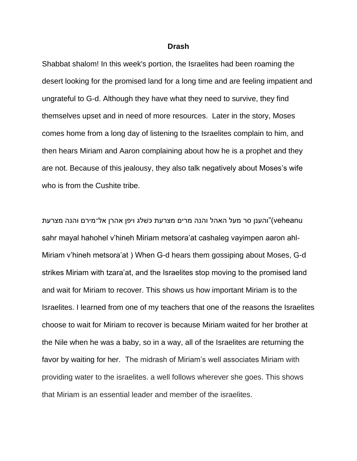## **Drash**

Shabbat shalom! In this week's portion, the Israelites had been roaming the desert looking for the promised land for a long time and are feeling impatient and ungrateful to G-d. Although they have what they need to survive, they find themselves upset and in need of more resources. Later in the story, Moses comes home from a long day of listening to the Israelites complain to him, and then hears Miriam and Aaron complaining about how he is a prophet and they are not. Because of this jealousy, they also talk negatively about Moses's wife who is from the Cushite tribe.

 veheanu"(והענן סר מעל האהל והנה מרים מצרעת כּשׁלג ויפן אהרן אל־מירם והנה מצרעת sahr mayal hahohel v'hineh Miriam metsora'at cashaleg vayimpen aaron ahl-Miriam v'hineh metsora'at ) When G-d hears them gossiping about Moses, G-d strikes Miriam with tzara'at, and the Israelites stop moving to the promised land and wait for Miriam to recover. This shows us how important Miriam is to the Israelites. I learned from one of my teachers that one of the reasons the Israelites choose to wait for Miriam to recover is because Miriam waited for her brother at the Nile when he was a baby, so in a way, all of the Israelites are returning the favor by waiting for her. The midrash of Miriam's well associates Miriam with providing water to the israelites. a well follows wherever she goes. This shows that Miriam is an essential leader and member of the israelites.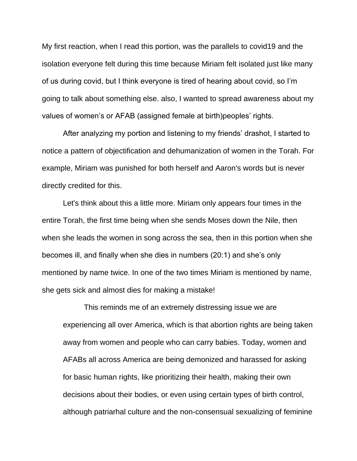My first reaction, when I read this portion, was the parallels to covid19 and the isolation everyone felt during this time because Miriam felt isolated just like many of us during covid, but I think everyone is tired of hearing about covid, so I'm going to talk about something else. also, I wanted to spread awareness about my values of women's or AFAB (assigned female at birth)peoples' rights.

After analyzing my portion and listening to my friends' drashot, I started to notice a pattern of objectification and dehumanization of women in the Torah. For example, Miriam was punished for both herself and Aaron's words but is never directly credited for this.

Let's think about this a little more. Miriam only appears four times in the entire Torah, the first time being when she sends Moses down the Nile, then when she leads the women in song across the sea, then in this portion when she becomes ill, and finally when she dies in numbers (20:1) and she's only mentioned by name twice. In one of the two times Miriam is mentioned by name, she gets sick and almost dies for making a mistake!

This reminds me of an extremely distressing issue we are experiencing all over America, which is that abortion rights are being taken away from women and people who can carry babies. Today, women and AFABs all across America are being demonized and harassed for asking for basic human rights, like prioritizing their health, making their own decisions about their bodies, or even using certain types of birth control, although patriarhal culture and the non-consensual sexualizing of feminine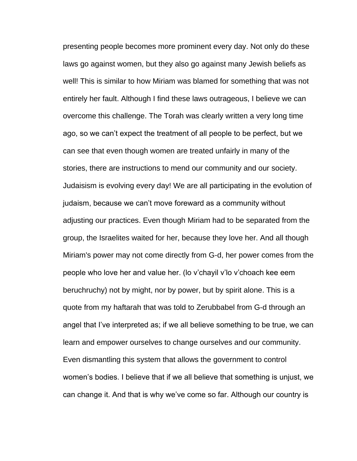presenting people becomes more prominent every day. Not only do these laws go against women, but they also go against many Jewish beliefs as well! This is similar to how Miriam was blamed for something that was not entirely her fault. Although I find these laws outrageous, I believe we can overcome this challenge. The Torah was clearly written a very long time ago, so we can't expect the treatment of all people to be perfect, but we can see that even though women are treated unfairly in many of the stories, there are instructions to mend our community and our society. Judaisism is evolving every day! We are all participating in the evolution of judaism, because we can't move foreward as a community without adjusting our practices. Even though Miriam had to be separated from the group, the Israelites waited for her, because they love her. And all though Miriam's power may not come directly from G-d, her power comes from the people who love her and value her. (lo v'chayil v'lo v'choach kee eem beruchruchy) not by might, nor by power, but by spirit alone. This is a quote from my haftarah that was told to Zerubbabel from G-d through an angel that I've interpreted as; if we all believe something to be true, we can learn and empower ourselves to change ourselves and our community. Even dismantling this system that allows the government to control women's bodies. I believe that if we all believe that something is unjust, we can change it. And that is why we've come so far. Although our country is